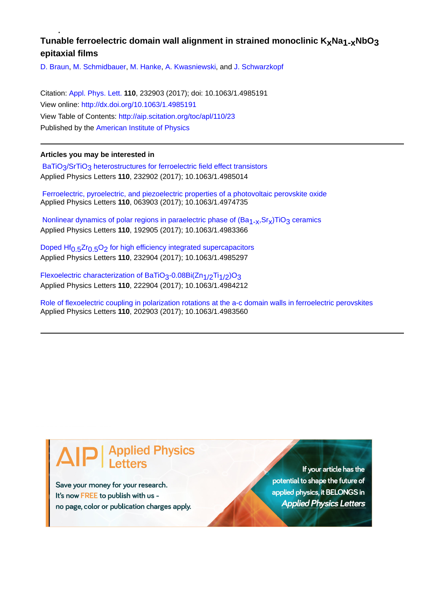## Tunable ferroelectric domain wall alignment in strained monoclinic K<sub>x</sub>Na<sub>1-x</sub>NbO<sub>3</sub> **epitaxial films**

[D. Braun,](http://aip.scitation.org/author/Braun%2C+D) [M. Schmidbauer](http://aip.scitation.org/author/Schmidbauer%2C+M), [M. Hanke](http://aip.scitation.org/author/Hanke%2C+M), [A. Kwasniewski](http://aip.scitation.org/author/Kwasniewski%2C+A), and [J. Schwarzkopf](http://aip.scitation.org/author/Schwarzkopf%2C+J)

Citation: [Appl. Phys. Lett.](/loi/apl) **110**, 232903 (2017); doi: 10.1063/1.4985191 View online: <http://dx.doi.org/10.1063/1.4985191> View Table of Contents: <http://aip.scitation.org/toc/apl/110/23> Published by the [American Institute of Physics](http://aip.scitation.org/publisher/)

## **Articles you may be interested in**

BaTiO<sub>3</sub>/SrTiO<sub>3</sub> heterostructures for ferroelectric field effect transistors Applied Physics Letters **110**, 232902 (2017); 10.1063/1.4985014

 [Ferroelectric, pyroelectric, and piezoelectric properties of a photovoltaic perovskite oxide](http://aip.scitation.org/doi/abs/10.1063/1.4974735) Applied Physics Letters **110**, 063903 (2017); 10.1063/1.4974735

Nonlinear dynamics of polar regions in paraelectric phase of  $(Ba_{1-x}, Sr_x)TiO_3$  ceramics Applied Physics Letters **110**, 192905 (2017); 10.1063/1.4983366

Doped Hf<sub>0.5</sub>Zr<sub>0.5</sub>O<sub>2</sub> for high efficiency integrated supercapacitors Applied Physics Letters **110**, 232904 (2017); 10.1063/1.4985297

Flexoelectric characterization of BaTiO<sub>3</sub>-0.08Bi(Zn<sub>1/2</sub>Ti<sub>1/2</sub>)O<sub>3</sub> Applied Physics Letters **110**, 222904 (2017); 10.1063/1.4984212

[Role of flexoelectric coupling in polarization rotations at the a-c domain walls in ferroelectric perovskites](http://aip.scitation.org/doi/abs/10.1063/1.4983560) Applied Physics Letters **110**, 202903 (2017); 10.1063/1.4983560

## **Applied Physics**

Save your money for your research. It's now FREE to publish with us no page, color or publication charges apply.

If your article has the potential to shape the future of applied physics, it BELONGS in **Applied Physics Letters**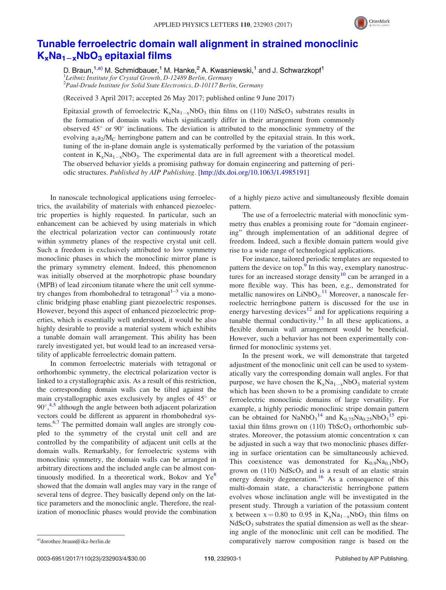

## [Tunable ferroelectric domain wall alignment in strained monoclinic](http://dx.doi.org/10.1063/1.4985191)  $K_xNa_{1-x}NbO_3$  [epitaxial films](http://dx.doi.org/10.1063/1.4985191)

D. Braun,  $1, a)$  M. Schmidbauer,  $1$  M. Hanke,  $2$  A. Kwasniewski,  $1$  and J. Schwarzkopf $1$ <sup>1</sup>Leibniz Institute for Crystal Growth, D-12489 Berlin, Germany <sup>2</sup> Paul-Drude Institute for Solid State Electronics, D-10117 Berlin, Germany

(Received 3 April 2017; accepted 26 May 2017; published online 9 June 2017)

Epitaxial growth of ferroelectric  $K_xNa_{1-x}NbO_3$  thin films on (110) NdScO<sub>3</sub> substrates results in the formation of domain walls which significantly differ in their arrangement from commonly observed  $45^{\circ}$  or  $90^{\circ}$  inclinations. The deviation is attributed to the monoclinic symmetry of the evolving  $a_1a_2/M_C$  herringbone pattern and can be controlled by the epitaxial strain. In this work, tuning of the in-plane domain angle is systematically performed by the variation of the potassium content in  $K_xNa_{1-x}NbO_3$ . The experimental data are in full agreement with a theoretical model. The observed behavior yields a promising pathway for domain engineering and patterning of periodic structures. Published by AIP Publishing. [\[http://dx.doi.org/10.1063/1.4985191](http://dx.doi.org/10.1063/1.4985191)]

In nanoscale technological applications using ferroelectrics, the availability of materials with enhanced piezoelectric properties is highly requested. In particular, such an enhancement can be achieved by using materials in which the electrical polarization vector can continuously rotate within symmetry planes of the respective crystal unit cell. Such a freedom is exclusively attributed to low symmetry monoclinic phases in which the monoclinic mirror plane is the primary symmetry element. Indeed, this phenomenon was initially observed at the morphotropic phase boundary (MPB) of lead zirconium titanate where the unit cell symmetry changes from rhombohedral to tetragonal $1-3$  via a monoclinic bridging phase enabling giant piezoelectric responses. However, beyond this aspect of enhanced piezoelectric properties, which is essentially well understood, it would be also highly desirable to provide a material system which exhibits a tunable domain wall arrangement. This ability has been rarely investigated yet, but would lead to an increased versatility of applicable ferroelectric domain pattern.

In common ferroelectric materials with tetragonal or orthorhombic symmetry, the electrical polarization vector is linked to a crystallographic axis. As a result of this restriction, the corresponding domain walls can be tilted against the main crystallographic axes exclusively by angles of  $45^{\circ}$  or 90°,<sup>[4](#page-4-0),[5](#page-4-0)</sup> although the angle between both adjacent polarization vectors could be different as apparent in rhombohedral systems.<sup>6,7</sup> The permitted domain wall angles are strongly coupled to the symmetry of the crystal unit cell and are controlled by the compatibility of adjacent unit cells at the domain walls. Remarkably, for ferroelectric systems with monoclinic symmetry, the domain walls can be arranged in arbitrary directions and the included angle can be almost continuously modified. In a theoretical work, Bokov and  $Ye^{\delta}$ showed that the domain wall angles may vary in the range of several tens of degree. They basically depend only on the lattice parameters and the monoclinic angle. Therefore, the realization of monoclinic phases would provide the combination of a highly piezo active and simultaneously flexible domain pattern.

The use of a ferroelectric material with monoclinic symmetry thus enables a promising route for "domain engineering" through implementation of an additional degree of freedom. Indeed, such a flexible domain pattern would give rise to a wide range of technological applications.

For instance, tailored periodic templates are requested to pattern the device on top.<sup>9</sup> In this way, exemplary nanostruc-tures for an increased storage density<sup>[10](#page-4-0)</sup> can be arranged in a more flexible way. This has been, e.g., demonstrated for metallic nanowires on  $LiNbO<sub>3</sub>$ .<sup>[11](#page-4-0)</sup> Moreover, a nanoscale ferroelectric herringbone pattern is discussed for the use in energy harvesting devices<sup>[12](#page-4-0)</sup> and for applications requiring a tunable thermal conductivity.<sup>[13](#page-4-0)</sup> In all these applications, a flexible domain wall arrangement would be beneficial. However, such a behavior has not been experimentally confirmed for monoclinic systems yet.

In the present work, we will demonstrate that targeted adjustment of the monoclinic unit cell can be used to systematically vary the corresponding domain wall angles. For that purpose, we have chosen the  $K_xNa_{1-x}NbO_3$  material system which has been shown to be a promising candidate to create ferroelectric monoclinic domains of large versatility. For example, a highly periodic monoclinic stripe domain pattern can be obtained for NaNbO<sub>3</sub><sup>[14](#page-4-0)</sup> and  $K_{0.75}Na_{0.25}NbO<sub>3</sub><sup>15</sup>$  $K_{0.75}Na_{0.25}NbO<sub>3</sub><sup>15</sup>$  $K_{0.75}Na_{0.25}NbO<sub>3</sub><sup>15</sup>$  epitaxial thin films grown on  $(110)$  TbScO<sub>3</sub> orthorhombic substrates. Moreover, the potassium atomic concentration x can be adjusted in such a way that two monoclinic phases differing in surface orientation can be simultaneously achieved. This coexistence was demonstrated for  $K_{0.9}Na<sub>0.1</sub>NbO<sub>3</sub>$ grown on  $(110)$  NdScO<sub>3</sub> and is a result of an elastic strain energy density degeneration.<sup>[16](#page-4-0)</sup> As a consequence of this multi-domain state, a characteristic herringbone pattern evolves whose inclination angle will be investigated in the present study. Through a variation of the potassium content x between  $x = 0.80$  to 0.95 in  $K_xNa_{1-x}NbO_3$  thin films on  $NdScO<sub>3</sub>$  substrates the spatial dimension as well as the shearing angle of the monoclinic unit cell can be modified. The a)[dorothee.braun@ikz-berlin.de](mailto:dorothee.braun@ikz-berlin.de) comparatively narrow composition range is based on the

0003-6951/2017/110(23)/232903/4/\$30.00 110, 232903-1 Published by AIP Publishing.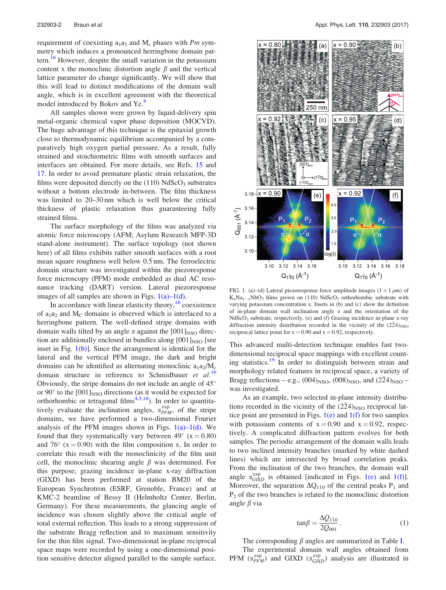requirement of coexisting  $a_1a_2$  and  $M_c$  phases with Pm symmetry which induces a pronounced herringbone domain pat-tern.<sup>[16](#page-4-0)</sup> However, despite the small variation in the potassium content x the monoclinic distortion angle  $\beta$  and the vertical lattice parameter do change significantly. We will show that this will lead to distinct modifications of the domain wall angle, which is in excellent agreement with the theoretical model introduced by Bokov and Ye.<sup>[8](#page-4-0)</sup>

All samples shown were grown by liquid-delivery spin metal-organic chemical vapor phase deposition (MOCVD). The huge advantage of this technique is the epitaxial growth close to thermodynamic equilibrium accompanied by a comparatively high oxygen partial pressure. As a result, fully strained and stoichiometric films with smooth surfaces and interfaces are obtained. For more details, see Refs. [15](#page-4-0) and [17](#page-4-0). In order to avoid premature plastic strain relaxation, the films were deposited directly on the  $(110)$  NdScO<sub>3</sub> substrates without a bottom electrode in-between. The film thickness was limited to 20–30 nm which is well below the critical thickness of plastic relaxation thus guaranteeing fully strained films.

The surface morphology of the films was analyzed via atomic force microscopy (AFM; Asylum Research MFP-3D stand-alone instrument). The surface topology (not shown here) of all films exhibits rather smooth surfaces with a root mean square roughness well below 0.5 nm. The ferroelectric domain structure was investigated within the piezoresponse force microscopy (PFM) mode embedded as dual AC resonance tracking (DART) version. Lateral piezoresponse images of all samples are shown in Figs.  $1(a)-1(d)$ .

In accordance with linear elasticity theory, $16$  coexistence of  $a_1a_2$  and  $M_C$  domains is observed which is interlaced to a herringbone pattern. The well-defined stripe domains with domain walls tilted by an angle  $\alpha$  against the  $[001]_{\text{NSO}}$  direction are additionally enclosed in bundles along  $[001]_{\text{NSO}}$  [see inset in Fig. 1(b)]. Since the arrangement is identical for the lateral and the vertical PFM image, the dark and bright domains can be identified as alternating monoclinic  $a_1 a_2/M_c$ domain structure in reference to Schmidbauer et  $al$ .<sup>[16](#page-4-0)</sup> Obviously, the stripe domains do not include an angle of 45 or  $90^\circ$  to the  $[001]_{\text{NSO}}$  directions (as it would be expected for orthorhombic or tetragonal films<sup>4,5,18</sup>). In order to quantitatively evaluate the inclination angles,  $\alpha_{PFM}^{\text{exp}}$ , of the stripe domains, we have performed a two-dimensional Fourier analysis of the PFM images shown in Figs.  $1(a)-1(d)$ . We found that they systematically vary between  $49^{\circ}$  (x = 0.80) and 76 $\degree$  (x = 0.90) with the film composition x. In order to correlate this result with the monoclinicity of the film unit cell, the monoclinic shearing angle  $\beta$  was determined. For this purpose, grazing incidence in-plane x-ray diffraction (GIXD) has been performed at station BM20 of the European Synchrotron (ESRF, Grenoble, France) and at KMC-2 beamline of Bessy II (Helmholtz Center, Berlin, Germany). For these measurements, the glancing angle of incidence was chosen slightly above the critical angle of total external reflection. This leads to a strong suppression of the substrate Bragg reflection and to maximum sensitivity for the thin film signal. Two-dimensional in-plane reciprocal space maps were recorded by using a one-dimensional position sensitive detector aligned parallel to the sample surface.



FIG. 1. (a)–(d) Lateral piezoresponse force amplitude images ( $1 \times 1 \mu m$ ) of  $K_xNa_{1-x}NbO_3$  films grown on (110) NdScO<sub>3</sub> orthorhombic substrate with varying potassium concentration x. Insets in (b) and (c) show the definition of in-plane domain wall inclination angle  $\alpha$  and the orientation of the NdScO3 substrate, respectively. (e) and (f) Grazing incidence in-plane x-ray diffraction intensity distribution recorded in the vicinity of the  $(2\bar{2}4)_{\text{NSO}}$ reciprocal lattice point for  $x = 0.90$  and  $x = 0.92$ , respectively.

This advanced multi-detection technique enables fast twodimensional reciprocal space mappings with excellent count-ing statistics.<sup>[19](#page-4-0)</sup> In order to distinguish between strain and morphology related features in reciprocal space, a variety of Bragg reflections – e.g.,  $(004)_{\text{NSO}}$ ,  $(008)_{\text{NSO}}$ , and  $(2\bar{2}4)_{\text{NSO}}$  – was investigated.

As an example, two selected in-plane intensity distributions recorded in the vicinity of the  $(2\bar{2}4)_{\text{NSO}}$  reciprocal lattice point are presented in Figs.  $1(e)$  and  $1(f)$  for two samples with potassium contents of  $x = 0.90$  and  $x = 0.92$ , respectively. A complicated diffraction pattern evolves for both samples. The periodic arrangement of the domain walls leads to two inclined intensity branches (marked by white dashed lines) which are intersected by broad correlation peaks. From the inclination of the two branches, the domain wall angle  $\alpha_{GIXD}^{exp}$  is obtained [indicated in Figs. 1(e) and 1(f)]. Moreover, the separation  $\Delta Q_{1\bar{1}0}$  of the central peaks P<sub>1</sub> and  $P<sub>2</sub>$  of the two branches is related to the monoclinic distortion angle  $\beta$  via

$$
an\beta = \frac{\Delta Q_{1\bar{1}0}}{2Q_{001}}.
$$
 (1)

The corresponding  $\beta$  angles are summarized in Table [I.](#page-3-0) The experimental domain wall angles obtained from PFM  $(\alpha_{PFM}^{exp})$  and GIXD  $(\alpha_{GIXD}^{exp})$  analysis are illustrated in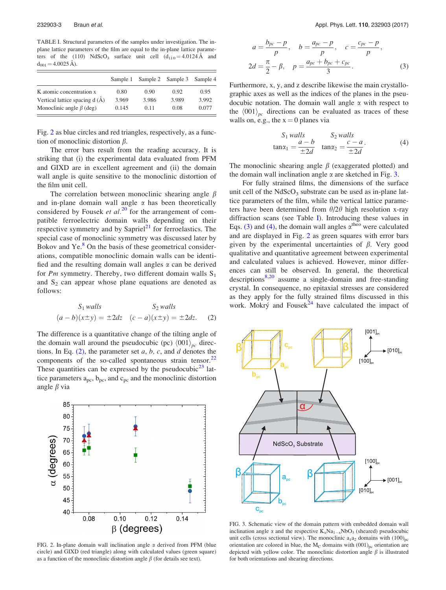<span id="page-3-0"></span>TABLE I. Structural parameters of the samples under investigation. The inplane lattice parameters of the film are equal to the in-plane lattice parameters of the (110) NdScO<sub>3</sub> surface unit cell  $(d_{110} = 4.0124 \text{ Å}$  and  $d_{001} = 4.0025 \text{ Å}$ ).

|                                | Sample 1 |       | Sample 2 Sample 3 | Sample 4 |
|--------------------------------|----------|-------|-------------------|----------|
| K atomic concentration x       | 0.80     | 0.90  | 0.92              | 0.95     |
| Vertical lattice spacing d (Å) | 3.969    | 3.986 | 3.989             | 3.992    |
| Monoclinic angle $\beta$ (deg) | 0.145    | 0.11  | 0.08              | 0.077    |

Fig. 2 as blue circles and red triangles, respectively, as a function of monoclinic distortion  $\beta$ .

The error bars result from the reading accuracy. It is striking that (i) the experimental data evaluated from PFM and GIXD are in excellent agreement and (ii) the domain wall angle is quite sensitive to the monoclinic distortion of the film unit cell.

The correlation between monoclinic shearing angle  $\beta$ and in-plane domain wall angle  $\alpha$  has been theoretically considered by Fousek et  $al$ .<sup>[20](#page-4-0)</sup> for the arrangement of compatible ferroelectric domain walls depending on their respective symmetry and by Sapriel<sup>[21](#page-4-0)</sup> for ferroelastics. The special case of monoclinic symmetry was discussed later by Bokov and  $Ye<sup>8</sup>$  $Ye<sup>8</sup>$  $Ye<sup>8</sup>$  On the basis of these geometrical considerations, compatible monoclinic domain walls can be identified and the resulting domain wall angles  $\alpha$  can be derived for Pm symmetry. Thereby, two different domain walls  $S_1$ and  $S_2$  can appear whose plane equations are denoted as follows:

$$
S_1 \text{ walls} \qquad S_2 \text{ walls}
$$
  

$$
(a - b)(x \pm y) = \pm 2dz \quad (c - a)(x \pm y) = \pm 2dz. \qquad (2)
$$

The difference is a quantitative change of the tilting angle of the domain wall around the pseudocubic (pc)  $\langle 001 \rangle_{nc}$  directions. In Eq.  $(2)$ , the parameter set a, b, c, and d denotes the components of the so-called spontaneous strain tensor. $22$ These quantities can be expressed by the pseudocubic $2<sup>3</sup>$  lattice parameters  $a_{pc}$ ,  $b_{pc}$ , and  $c_{pc}$  and the monoclinic distortion angle  $\beta$  via



FIG. 2. In-plane domain wall inclination angle  $\alpha$  derived from PFM (blue circle) and GIXD (red triangle) along with calculated values (green square) as a function of the monoclinic distortion angle  $\beta$  (for details see text).

$$
a = \frac{b_{pc} - p}{p}, \quad b = \frac{a_{pc} - p}{p}, \quad c = \frac{c_{pc} - p}{p},
$$
  

$$
2d = \frac{\pi}{2} - \beta, \quad p = \frac{a_{pc} + b_{pc} + c_{pc}}{3}.
$$
 (3)

Furthermore, x, y, and z describe likewise the main crystallographic axes as well as the indices of the planes in the pseudocubic notation. The domain wall angle  $\alpha$  with respect to the  $\langle 001 \rangle_{nc}$  directions can be evaluated as traces of these walls on, e.g., the  $x = 0$  planes via

$$
S_1 \text{ walls} \qquad S_2 \text{ walls} \n\tan\alpha_1 = \frac{a - b}{\pm 2d} \quad \tan\alpha_2 = \frac{c - a}{\pm 2d}.
$$
\n(4)

The monoclinic shearing angle  $\beta$  (exaggerated plotted) and the domain wall inclination angle  $\alpha$  are sketched in Fig. 3.

For fully strained films, the dimensions of the surface unit cell of the  $NdScO<sub>3</sub>$  substrate can be used as in-plane lattice parameters of the film, while the vertical lattice parameters have been determined from  $\theta/2\theta$  high resolution x-ray diffraction scans (see Table I). Introducing these values in Eqs. (3) and (4), the domain wall angles  $\alpha^{\text{theo}}$  were calculated and are displayed in Fig. 2 as green squares with error bars given by the experimental uncertainties of  $\beta$ . Very good qualitative and quantitative agreement between experimental and calculated values is achieved. However, minor differences can still be observed. In general, the theoretical descriptions $8,20$  assume a single-domain and free-standing crystal. In consequence, no epitaxial stresses are considered as they apply for the fully strained films discussed in this work. Mokrý and Fousek $^{24}$  $^{24}$  $^{24}$  have calculated the impact of



FIG. 3. Schematic view of the domain pattern with embedded domain wall inclination angle  $\alpha$  and the respective  $K_xNa_{1-x}NbO_3$  (sheared) pseudocubic unit cells (cross sectional view). The monoclinic  $a_1a_2$  domains with  $(100)_{nc}$ orientation are colored in blue, the  $M_C$  domains with  $(001)_{pc}$  orientation are depicted with yellow color. The monoclinic distortion angle  $\beta$  is illustrated for both orientations and shearing directions.